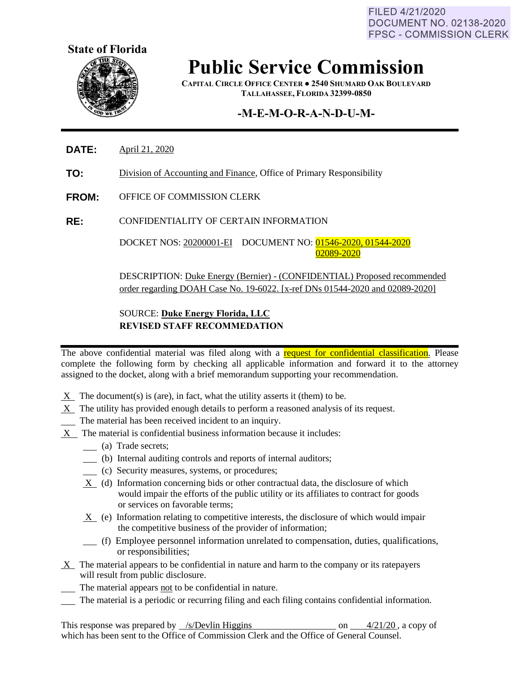FILED 4/21/2020 **DOCUMENT NO. 02138-2020 FPSC - COMMISSION CLERK** 



## **Public Service Commission**

**CAPITAL CIRCLE OFFICE CENTER ● 2540 SHUMARD OAK BOULEVARD TALLAHASSEE, FLORIDA 32399-0850**

### **-M-E-M-O-R-A-N-D-U-M-**

- **DATE:** April 21, 2020
- **TO:** Division of Accounting and Finance, Office of Primary Responsibility
- **FROM:** OFFICE OF COMMISSION CLERK

**RE:** CONFIDENTIALITY OF CERTAIN INFORMATION

DOCKET NOS: 20200001-EI DOCUMENT NO: 01546-2020, 01544-2020 02089-2020

DESCRIPTION: Duke Energy (Bernier) - (CONFIDENTIAL) Proposed recommended order regarding DOAH Case No. 19-6022. [x-ref DNs 01544-2020 and 02089-2020]

#### SOURCE: **Duke Energy Florida, LLC REVISED STAFF RECOMMEDATION**

The above confidential material was filed along with a request for confidential classification. Please complete the following form by checking all applicable information and forward it to the attorney assigned to the docket, along with a brief memorandum supporting your recommendation.

- $X$  The document(s) is (are), in fact, what the utility asserts it (them) to be.
- $X$  The utility has provided enough details to perform a reasoned analysis of its request.
- The material has been received incident to an inquiry.
- X The material is confidential business information because it includes:
	- (a) Trade secrets;
	- (b) Internal auditing controls and reports of internal auditors;
	- (c) Security measures, systems, or procedures;
	- X (d) Information concerning bids or other contractual data, the disclosure of which would impair the efforts of the public utility or its affiliates to contract for goods or services on favorable terms;
	- $X$  (e) Information relating to competitive interests, the disclosure of which would impair the competitive business of the provider of information;
	- (f) Employee personnel information unrelated to compensation, duties, qualifications, or responsibilities;
- $X$  The material appears to be confidential in nature and harm to the company or its ratepayers will result from public disclosure.
- The material appears not to be confidential in nature.
- The material is a periodic or recurring filing and each filing contains confidential information.

This response was prepared by /s/Devlin Higgins on 4/21/20, a copy of which has been sent to the Office of Commission Clerk and the Office of General Counsel.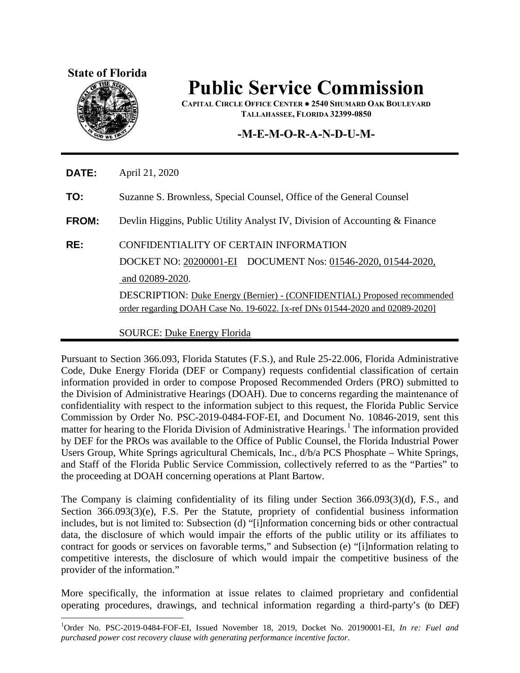#### **State of Florida**



 $\overline{a}$ 

# **Public Service Commission**

**CAPITAL CIRCLE OFFICE CENTER ● 2540 SHUMARD OAK BOULEVARD TALLAHASSEE, FLORIDA 32399-0850**

#### **-M-E-M-O-R-A-N-D-U-M-**

**DATE:** April 21, 2020

**TO:** Suzanne S. Brownless, Special Counsel, Office of the General Counsel

**FROM:** Devlin Higgins, Public Utility Analyst IV, Division of Accounting & Finance

#### **RE:** CONFIDENTIALITY OF CERTAIN INFORMATION

DOCKET NO: 20200001-EI DOCUMENT Nos: 01546-2020, 01544-2020, and 02089-2020.

DESCRIPTION: Duke Energy (Bernier) - (CONFIDENTIAL) Proposed recommended order regarding DOAH Case No. 19-6022. [x-ref DNs 01544-2020 and 02089-2020]

SOURCE: Duke Energy Florida

Pursuant to Section 366.093, Florida Statutes (F.S.), and Rule 25-22.006, Florida Administrative Code, Duke Energy Florida (DEF or Company) requests confidential classification of certain information provided in order to compose Proposed Recommended Orders (PRO) submitted to the Division of Administrative Hearings (DOAH). Due to concerns regarding the maintenance of confidentiality with respect to the information subject to this request, the Florida Public Service Commission by Order No. PSC-2019-0484-FOF-EI, and Document No. 10846-2019, sent this matter for hearing to the Florida Division of Administrative Hearings.<sup>[1](#page-1-0)</sup> The information provided by DEF for the PROs was available to the Office of Public Counsel, the Florida Industrial Power Users Group, White Springs agricultural Chemicals, Inc., d/b/a PCS Phosphate – White Springs, and Staff of the Florida Public Service Commission, collectively referred to as the "Parties" to the proceeding at DOAH concerning operations at Plant Bartow.

The Company is claiming confidentiality of its filing under Section 366.093(3)(d), F.S., and Section 366.093(3)(e), F.S. Per the Statute, propriety of confidential business information includes, but is not limited to: Subsection (d) "[i]nformation concerning bids or other contractual data, the disclosure of which would impair the efforts of the public utility or its affiliates to contract for goods or services on favorable terms," and Subsection (e) "[i]nformation relating to competitive interests, the disclosure of which would impair the competitive business of the provider of the information."

More specifically, the information at issue relates to claimed proprietary and confidential operating procedures, drawings, and technical information regarding a third-party's (to DEF)

<span id="page-1-0"></span><sup>1</sup> Order No. PSC-2019-0484-FOF-EI, Issued November 18, 2019, Docket No. 20190001-EI, *In re: Fuel and purchased power cost recovery clause with generating performance incentive factor*.